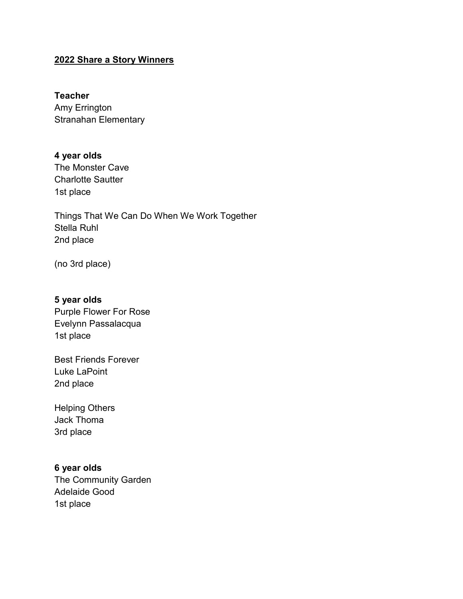## **2022 Share a Story Winners**

#### **Teacher**

Amy Errington Stranahan Elementary

# **4 year olds**

The Monster Cave Charlotte Sautter 1st place

Things That We Can Do When We Work Together Stella Ruhl 2nd place

(no 3rd place)

#### **5 year olds**

Purple Flower For Rose Evelynn Passalacqua 1st place

Best Friends Forever Luke LaPoint 2nd place

Helping Others Jack Thoma 3rd place

#### **6 year olds**

The Community Garden Adelaide Good 1st place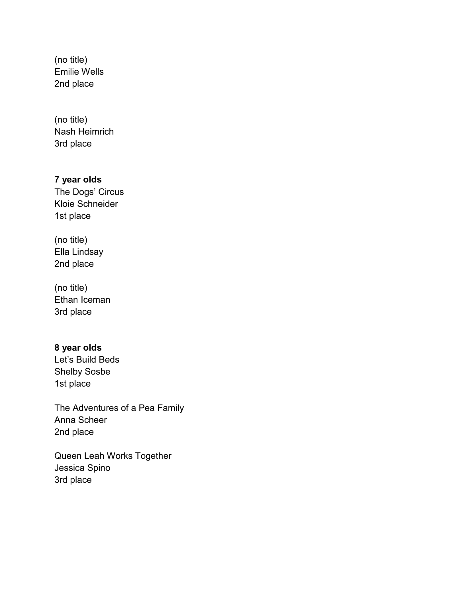(no title) Emilie Wells 2nd place

(no title) Nash Heimrich 3rd place

## **7 year olds**

The Dogs' Circus Kloie Schneider 1st place

(no title) Ella Lindsay 2nd place

(no title) Ethan Iceman 3rd place

# **8 year olds**

Let's Build Beds Shelby Sosbe 1st place

The Adventures of a Pea Family Anna Scheer 2nd place

Queen Leah Works Together Jessica Spino 3rd place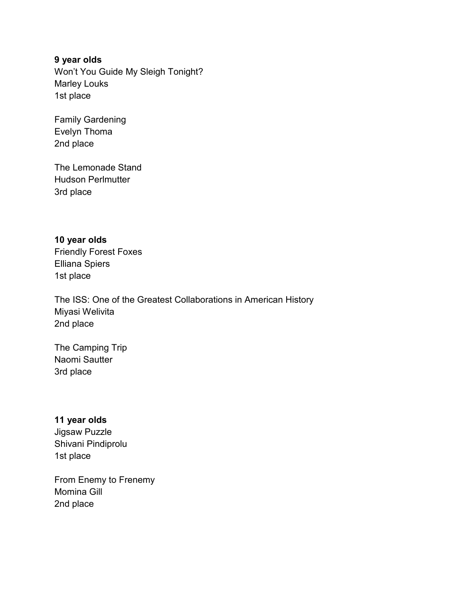## **9 year olds**

Won't You Guide My Sleigh Tonight? Marley Louks 1st place

Family Gardening Evelyn Thoma 2nd place

The Lemonade Stand Hudson Perlmutter 3rd place

**10 year olds** Friendly Forest Foxes Elliana Spiers 1st place

The ISS: One of the Greatest Collaborations in American History Miyasi Welivita 2nd place

The Camping Trip Naomi Sautter 3rd place

### **11 year olds**

Jigsaw Puzzle Shivani Pindiprolu 1st place

From Enemy to Frenemy Momina Gill 2nd place